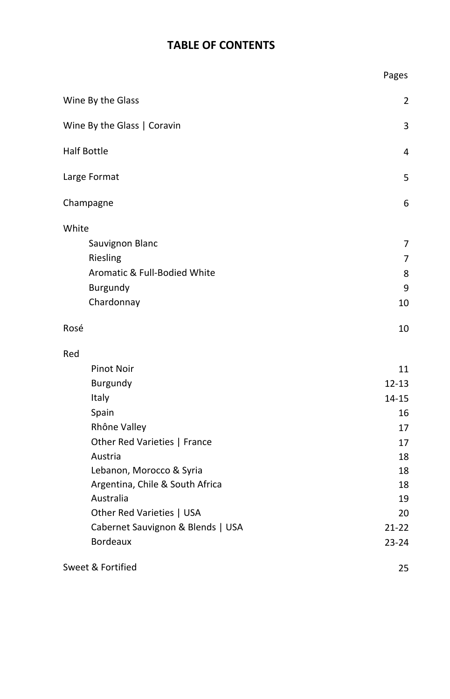# **TABLE OF CONTENTS**

|                                         | Pages          |
|-----------------------------------------|----------------|
| Wine By the Glass                       | $\overline{2}$ |
| Wine By the Glass   Coravin             | 3              |
| <b>Half Bottle</b>                      | 4              |
| Large Format                            | 5              |
| Champagne                               | 6              |
| White                                   |                |
| <b>Sauvignon Blanc</b>                  | 7              |
| Riesling                                | 7              |
| <b>Aromatic &amp; Full-Bodied White</b> | 8              |
| <b>Burgundy</b>                         | 9              |
| Chardonnay                              | 10             |
| Rosé                                    | 10             |
| Red                                     |                |
| <b>Pinot Noir</b>                       | 11             |
| <b>Burgundy</b>                         | $12 - 13$      |
| <b>Italy</b>                            | 14-15          |
| Spain                                   | 16             |
| Rhône Valley                            | 17             |
| Other Red Varieties   France            | 17             |
| Austria                                 | 18             |
| Lebanon, Morocco & Syria                | 18             |
| Argentina, Chile & South Africa         | 18             |
| Australia                               | 19             |
| Other Red Varieties   USA               | 20             |
| Cabernet Sauvignon & Blends   USA       | $21 - 22$      |
| <b>Bordeaux</b>                         | $23 - 24$      |
| Sweet & Fortified                       | 25             |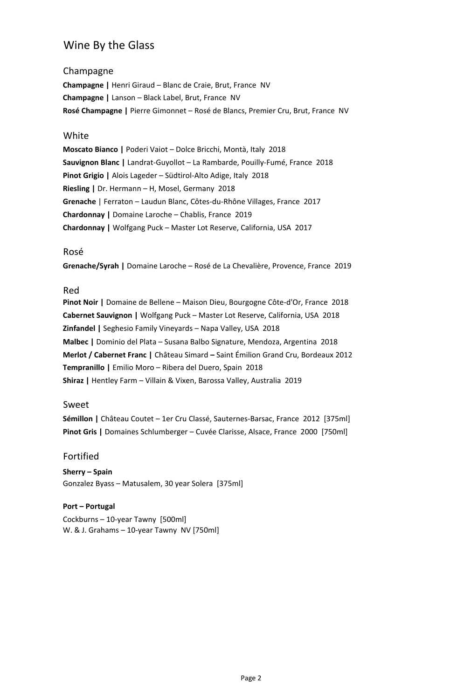# Wine By the Glass

## Champagne

**Champagne |** Henri Giraud – Blanc de Craie, Brut, France NV **Champagne |** Lanson – Black Label, Brut, France NV **Rosé Champagne |** Pierre Gimonnet – Rosé de Blancs, Premier Cru, Brut, France NV

#### White

**Moscato Bianco |** Poderi Vaiot – Dolce Bricchi, Montà, Italy 2018 **Sauvignon Blanc |** Landrat-Guyollot – La Rambarde, Pouilly-Fumé, France 2018 **Pinot Grigio |** Alois Lageder – Südtirol-Alto Adige, Italy 2018 **Riesling |** Dr. Hermann – H, Mosel, Germany 2018 **Grenache** | Ferraton – Laudun Blanc, Côtes-du-Rhône Villages, France 2017 **Chardonnay |** Domaine Laroche – Chablis, France 2019 **Chardonnay |** Wolfgang Puck – Master Lot Reserve, California, USA 2017

#### Rosé

**Grenache/Syrah |** Domaine Laroche – Rosé de La Chevalière, Provence, France 2019

#### Red

**Pinot Noir |** Domaine de Bellene – Maison Dieu, Bourgogne Côte-d'Or, France 2018 **Cabernet Sauvignon |** Wolfgang Puck – Master Lot Reserve, California, USA 2018 **Zinfandel |** Seghesio Family Vineyards – Napa Valley, USA 2018 **Malbec |** Dominio del Plata – Susana Balbo Signature, Mendoza, Argentina 2018 **Merlot / Cabernet Franc |** Château Simard **–** Saint Émilion Grand Cru, Bordeaux 2012 **Tempranillo |** Emilio Moro – Ribera del Duero, Spain 2018 **Shiraz |** Hentley Farm – Villain & Vixen, Barossa Valley, Australia 2019

#### Sweet

**Sémillon |** Château Coutet – 1er Cru Classé, Sauternes-Barsac, France 2012 [375ml] **Pinot Gris |** Domaines Schlumberger – Cuvée Clarisse, Alsace, France 2000 [750ml]

#### Fortified

**Sherry – Spain** Gonzalez Byass – Matusalem, 30 year Solera [375ml]

#### **Port – Portugal**

Cockburns – 10-year Tawny [500ml] W. & J. Grahams – 10-year Tawny NV [750ml]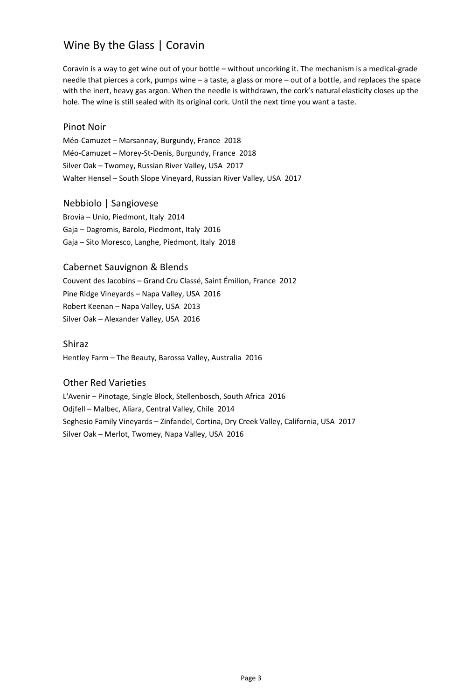# Wine By the Glass | Coravin

Coravin is a way to get wine out of your bottle – without uncorking it. The mechanism is a medical-grade needle that pierces a cork, pumps wine – a taste, a glass or more – out of a bottle, and replaces the space with the inert, heavy gas argon. When the needle is withdrawn, the cork's natural elasticity closes up the hole. The wine is still sealed with its original cork. Until the next time you want a taste.

#### Pinot Noir

Méo-Camuzet – Marsannay, Burgundy, France 2018 Méo-Camuzet – Morey-St-Denis, Burgundy, France 2018 Silver Oak – Twomey, Russian River Valley, USA 2017 Walter Hensel – South Slope Vineyard, Russian River Valley, USA 2017

## Nebbiolo | Sangiovese

Brovia – Unio, Piedmont, Italy 2014 Gaja – Dagromis, Barolo, Piedmont, Italy 2016 Gaja – Sito Moresco, Langhe, Piedmont, Italy 2018

## Cabernet Sauvignon & Blends

Couvent des Jacobins – Grand Cru Classé, Saint Émilion, France 2012 Pine Ridge Vineyards – Napa Valley, USA 2016 Robert Keenan – Napa Valley, USA 2013 Silver Oak – Alexander Valley, USA 2016

#### Shiraz

Hentley Farm – The Beauty, Barossa Valley, Australia 2016

#### Other Red Varieties

L'Avenir – Pinotage, Single Block, Stellenbosch, South Africa 2016 Odjfell – Malbec, Aliara, Central Valley, Chile 2014 Seghesio Family Vineyards – Zinfandel, Cortina, Dry Creek Valley, California, USA 2017 Silver Oak – Merlot, Twomey, Napa Valley, USA 2016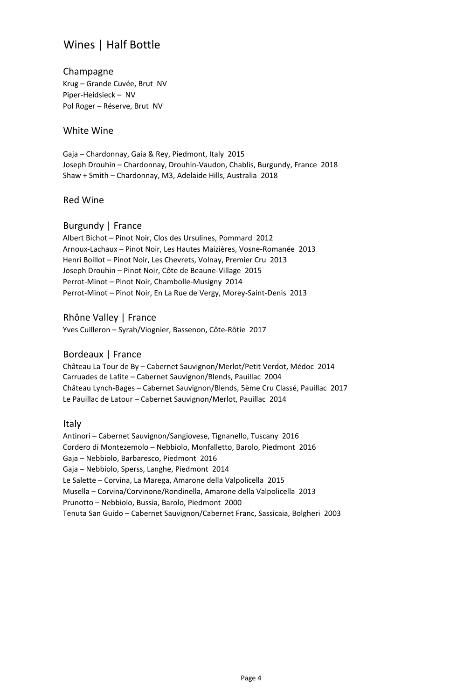# Wines | Half Bottle

#### Champagne Krug – Grande Cuvée, Brut NV Piper-Heidsieck – NV Pol Roger – Réserve, Brut NV

#### White Wine

Gaja – Chardonnay, Gaia & Rey, Piedmont, Italy 2015 Joseph Drouhin – Chardonnay, Drouhin-Vaudon, Chablis, Burgundy, France 2018 Shaw + Smith – Chardonnay, M3, Adelaide Hills, Australia 2018

#### Red Wine

## Burgundy | France

Albert Bichot – Pinot Noir, Clos des Ursulines, Pommard 2012 Arnoux-Lachaux – Pinot Noir, Les Hautes Maizières, Vosne-Romanée 2013 Henri Boillot – Pinot Noir, Les Chevrets, Volnay, Premier Cru 2013 Joseph Drouhin – Pinot Noir, Côte de Beaune-Village 2015 Perrot-Minot – Pinot Noir, Chambolle-Musigny 2014 Perrot-Minot – Pinot Noir, En La Rue de Vergy, Morey-Saint-Denis 2013

#### Rhône Valley | France

Yves Cuilleron – Syrah/Viognier, Bassenon, Côte-Rôtie 2017

## Bordeaux | France

Château La Tour de By – Cabernet Sauvignon/Merlot/Petit Verdot, Médoc 2014 Carruades de Lafite – Cabernet Sauvignon/Blends, Pauillac 2004 Château Lynch-Bages – Cabernet Sauvignon/Blends, 5ème Cru Classé, Pauillac 2017 Le Pauillac de Latour – Cabernet Sauvignon/Merlot, Pauillac 2014

#### Italy

Antinori – Cabernet Sauvignon/Sangiovese, Tignanello, Tuscany 2016 Cordero di Montezemolo – Nebbiolo, Monfalletto, Barolo, Piedmont 2016 Gaja – Nebbiolo, Barbaresco, Piedmont 2016 Gaja – Nebbiolo, Sperss, Langhe, Piedmont 2014 Le Salette – Corvina, La Marega, Amarone della Valpolicella 2015 Musella – Corvina/Corvinone/Rondinella, Amarone della Valpolicella 2013 Prunotto – Nebbiolo, Bussia, Barolo, Piedmont 2000 Tenuta San Guido – Cabernet Sauvignon/Cabernet Franc, Sassicaia, Bolgheri 2003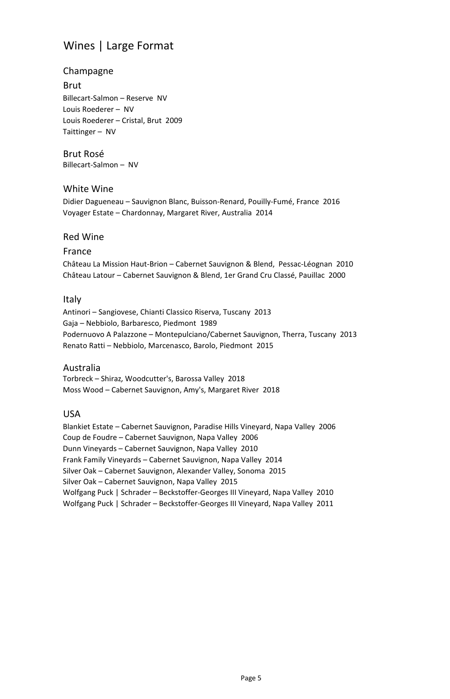# Wines | Large Format

## Champagne

#### Brut

Billecart-Salmon – Reserve NV Louis Roederer – NV Louis Roederer – Cristal, Brut 2009 Taittinger – NV

#### Brut Rosé Billecart-Salmon – NV

## White Wine

Didier Dagueneau – Sauvignon Blanc, Buisson-Renard, Pouilly-Fumé, France 2016 Voyager Estate – Chardonnay, Margaret River, Australia 2014

#### Red Wine

#### France

Château La Mission Haut-Brion – Cabernet Sauvignon & Blend, Pessac-Léognan 2010 Château Latour – Cabernet Sauvignon & Blend, 1er Grand Cru Classé, Pauillac 2000

#### Italy

Antinori – Sangiovese, Chianti Classico Riserva, Tuscany 2013 Gaja – Nebbiolo, Barbaresco, Piedmont 1989 Podernuovo A Palazzone – Montepulciano/Cabernet Sauvignon, Therra, Tuscany 2013 Renato Ratti – Nebbiolo, Marcenasco, Barolo, Piedmont 2015

#### Australia

Torbreck – Shiraz*,* Woodcutter's, Barossa Valley 2018 Moss Wood – Cabernet Sauvignon, Amy's, Margaret River 2018

#### USA

Blankiet Estate – Cabernet Sauvignon, Paradise Hills Vineyard, Napa Valley 2006 Coup de Foudre – Cabernet Sauvignon, Napa Valley 2006 Dunn Vineyards – Cabernet Sauvignon, Napa Valley 2010 Frank Family Vineyards – Cabernet Sauvignon, Napa Valley 2014 Silver Oak – Cabernet Sauvignon, Alexander Valley, Sonoma 2015 Silver Oak – Cabernet Sauvignon, Napa Valley 2015 Wolfgang Puck | Schrader – Beckstoffer-Georges III Vineyard, Napa Valley 2010 Wolfgang Puck | Schrader – Beckstoffer-Georges III Vineyard, Napa Valley 2011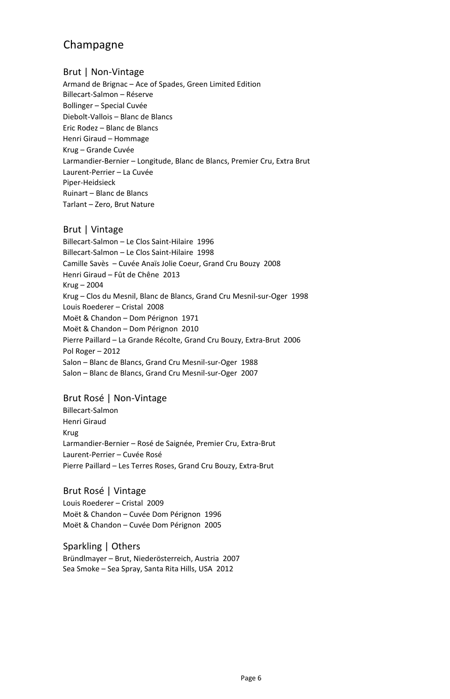# Champagne

#### Brut | Non-Vintage

Armand de Brignac – Ace of Spades, Green Limited Edition Billecart-Salmon – Réserve Bollinger – Special Cuvée Diebolt-Vallois – Blanc de Blancs Eric Rodez – Blanc de Blancs Henri Giraud – Hommage Krug – Grande Cuvée Larmandier-Bernier – Longitude, Blanc de Blancs, Premier Cru, Extra Brut Laurent-Perrier – La Cuvée Piper-Heidsieck Ruinart – Blanc de Blancs Tarlant – Zero, Brut Nature

## Brut | Vintage

Billecart-Salmon – Le Clos Saint-Hilaire 1996 Billecart-Salmon – Le Clos Saint-Hilaire 1998 Camille Savès – Cuvée Anaïs Jolie Coeur, Grand Cru Bouzy 2008 Henri Giraud – Fût de Chêne 2013 Krug – 2004 Krug – Clos du Mesnil, Blanc de Blancs, Grand Cru Mesnil-sur-Oger 1998 Louis Roederer – Cristal 2008 Moët & Chandon – Dom Pérignon 1971 Moët & Chandon – Dom Pérignon 2010 Pierre Paillard – La Grande Récolte, Grand Cru Bouzy, Extra-Brut 2006 Pol Roger – 2012 Salon – Blanc de Blancs, Grand Cru Mesnil-sur-Oger 1988 Salon – Blanc de Blancs, Grand Cru Mesnil-sur-Oger 2007

## Brut Rosé | Non-Vintage

Billecart-Salmon Henri Giraud Krug Larmandier-Bernier – Rosé de Saignée, Premier Cru, Extra-Brut Laurent-Perrier – Cuvée Rosé Pierre Paillard – Les Terres Roses, Grand Cru Bouzy, Extra-Brut

## Brut Rosé | Vintage

Louis Roederer – Cristal 2009 Moët & Chandon – Cuvée Dom Pérignon 1996 Moët & Chandon – Cuvée Dom Pérignon 2005

Sparkling | Others Bründlmayer – Brut, Niederösterreich, Austria 2007 Sea Smoke – Sea Spray, Santa Rita Hills, USA 2012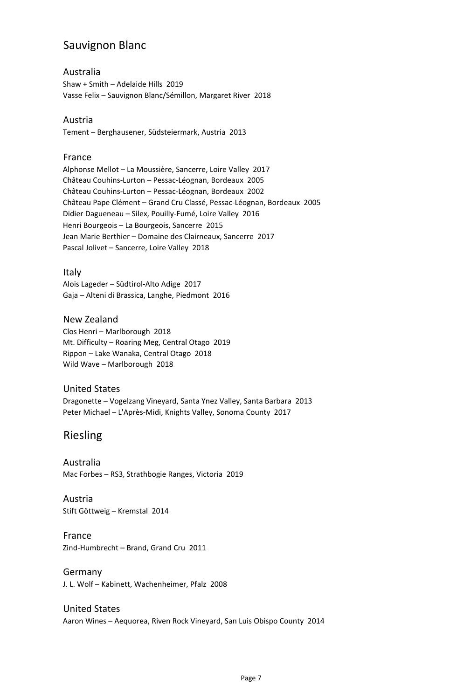# Sauvignon Blanc

### Australia

Shaw + Smith – Adelaide Hills 2019 Vasse Felix – Sauvignon Blanc/Sémillon, Margaret River 2018

#### Austria

Tement – Berghausener, Südsteiermark, Austria 2013

#### France

Alphonse Mellot – La Moussière, Sancerre, Loire Valley 2017 Château Couhins-Lurton – Pessac-Léognan, Bordeaux 2005 Château Couhins-Lurton – Pessac-Léognan, Bordeaux 2002 Château Pape Clément – Grand Cru Classé, Pessac-Léognan, Bordeaux 2005 Didier Dagueneau – Silex, Pouilly-Fumé, Loire Valley 2016 Henri Bourgeois – La Bourgeois, Sancerre 2015 Jean Marie Berthier – Domaine des Clairneaux, Sancerre 2017 Pascal Jolivet – Sancerre, Loire Valley 2018

## Italy

Alois Lageder – Südtirol-Alto Adige 2017 Gaja – Alteni di Brassica, Langhe, Piedmont 2016

# New Zealand

Clos Henri – Marlborough 2018 Mt. Difficulty – Roaring Meg, Central Otago 2019 Rippon – Lake Wanaka, Central Otago 2018 Wild Wave – Marlborough 2018

## United States

Dragonette – Vogelzang Vineyard, Santa Ynez Valley, Santa Barbara 2013 Peter Michael – L'Après-Midi, Knights Valley, Sonoma County 2017

# Riesling

Australia Mac Forbes – RS3*,* Strathbogie Ranges, Victoria 2019

Austria Stift Göttweig – Kremstal 2014

#### France Zind-Humbrecht – Brand, Grand Cru 2011

Germany J. L. Wolf – Kabinett, Wachenheimer, Pfalz 2008

## United States

Aaron Wines – Aequorea, Riven Rock Vineyard, San Luis Obispo County 2014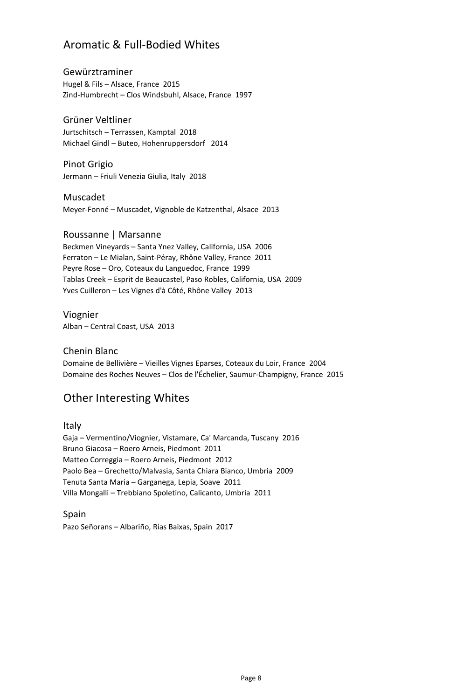# Aromatic & Full-Bodied Whites

Gewürztraminer Hugel & Fils – Alsace, France 2015 Zind-Humbrecht – Clos Windsbuhl, Alsace, France 1997

Grüner Veltliner Jurtschitsch – Terrassen, Kamptal 2018 Michael Gindl – Buteo, Hohenruppersdorf 2014

Pinot Grigio Jermann – Friuli Venezia Giulia, Italy 2018

Muscadet Meyer-Fonné – Muscadet, Vignoble de Katzenthal, Alsace 2013

#### Roussanne | Marsanne

Beckmen Vineyards – Santa Ynez Valley, California, USA 2006 Ferraton – Le Mialan, Saint-Péray, Rhône Valley, France 2011 Peyre Rose – Oro, Coteaux du Languedoc, France 1999 Tablas Creek – Esprit de Beaucastel, Paso Robles, California, USA 2009 Yves Cuilleron – Les Vignes d'à Côté, Rhône Valley 2013

Viognier Alban – Central Coast, USA 2013

Chenin Blanc

Domaine de Bellivière – Vieilles Vignes Eparses, Coteaux du Loir, France 2004 Domaine des Roches Neuves – Clos de l'Échelier, Saumur-Champigny, France 2015

# Other Interesting Whites

Italy

Gaja – Vermentino/Viognier, Vistamare, Ca' Marcanda, Tuscany 2016 Bruno Giacosa – Roero Arneis, Piedmont 2011 Matteo Correggia – Roero Arneis, Piedmont 2012 Paolo Bea – Grechetto/Malvasia, Santa Chiara Bianco, Umbria 2009 Tenuta Santa Maria – Garganega, Lepia, Soave 2011 Villa Mongalli – Trebbiano Spoletino, Calicanto, Umbria 2011

Spain Pazo Señorans – Albariño, Rías Baixas, Spain 2017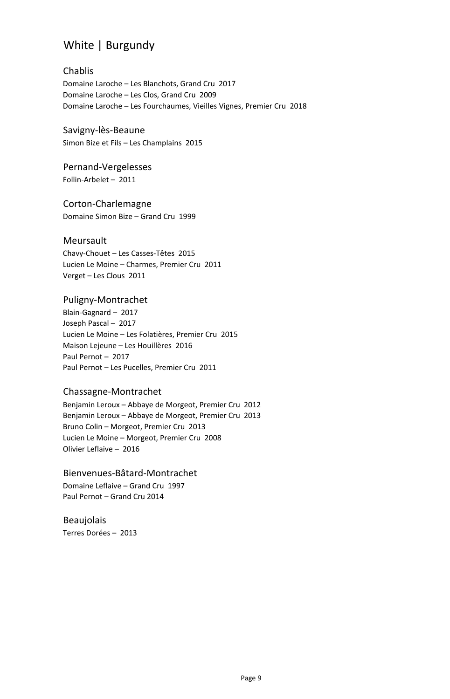# White | Burgundy

#### Chablis Domaine Laroche – Les Blanchots, Grand Cru 2017 Domaine Laroche – Les Clos, Grand Cru 2009 Domaine Laroche – Les Fourchaumes, Vieilles Vignes, Premier Cru 2018

Savigny-lès-Beaune Simon Bize et Fils – Les Champlains 2015

# Pernand-Vergelesses

Follin-Arbelet – 2011

## Corton-Charlemagne

Domaine Simon Bize – Grand Cru 1999

## Meursault

Chavy-Chouet – Les Casses-Têtes 2015 Lucien Le Moine – Charmes, Premier Cru 2011 Verget – Les Clous 2011

## Puligny-Montrachet

Blain-Gagnard – 2017 Joseph Pascal – 2017 Lucien Le Moine – Les Folatières, Premier Cru 2015 Maison Lejeune – Les Houillères 2016 Paul Pernot – 2017 Paul Pernot – Les Pucelles, Premier Cru 2011

## Chassagne-Montrachet

Benjamin Leroux – Abbaye de Morgeot, Premier Cru 2012 Benjamin Leroux – Abbaye de Morgeot, Premier Cru 2013 Bruno Colin – Morgeot, Premier Cru 2013 Lucien Le Moine – Morgeot, Premier Cru 2008 Olivier Leflaive – 2016

## Bienvenues-Bâtard-Montrachet

Domaine Leflaive – Grand Cru 1997 Paul Pernot – Grand Cru 2014

#### Beaujolais Terres Dorées – 2013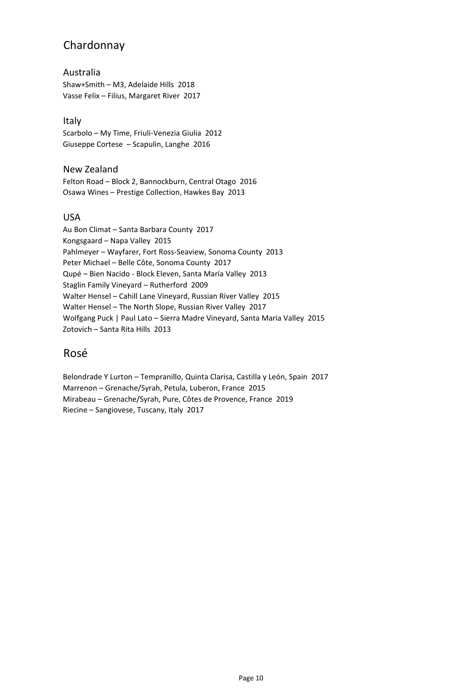# Chardonnay

## Australia

Shaw+Smith – M3, Adelaide Hills 2018 Vasse Felix – Filius, Margaret River 2017

## Italy

Scarbolo – My Time, Friuli-Venezia Giulia 2012 Giuseppe Cortese – Scapulin, Langhe 2016

## New Zealand

Felton Road – Block 2, Bannockburn, Central Otago 2016 Osawa Wines – Prestige Collection, Hawkes Bay 2013

## USA

Au Bon Climat – Santa Barbara County 2017 Kongsgaard – Napa Valley 2015 Pahlmeyer – Wayfarer, Fort Ross-Seaview, Sonoma County 2013 Peter Michael – Belle Côte, Sonoma County 2017 Qupé – Bien Nacido - Block Eleven, Santa María Valley 2013 Staglin Family Vineyard – Rutherford 2009 Walter Hensel – Cahill Lane Vineyard, Russian River Valley 2015 Walter Hensel – The North Slope, Russian River Valley 2017 Wolfgang Puck | Paul Lato – Sierra Madre Vineyard, Santa Maria Valley 2015 Zotovich – Santa Rita Hills 2013

## Rosé

Belondrade Y Lurton – Tempranillo, Quinta Clarisa, Castilla y León, Spain 2017 Marrenon – Grenache/Syrah, Petula, Luberon, France 2015 Mirabeau – Grenache/Syrah, Pure, Côtes de Provence, France 2019 Riecine – Sangiovese, Tuscany, Italy 2017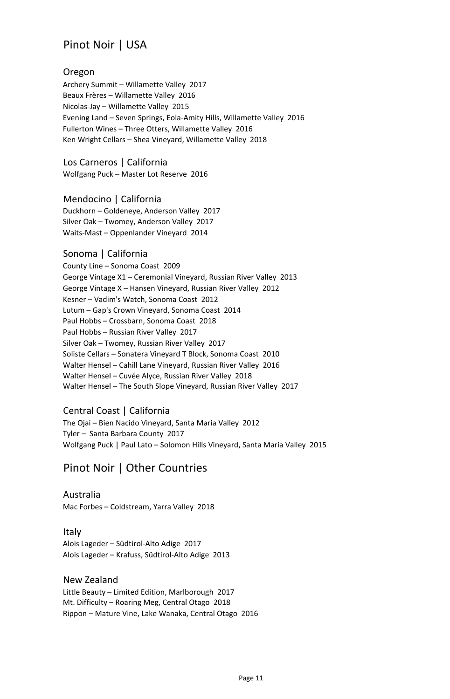# Pinot Noir | USA

## Oregon

Archery Summit – Willamette Valley 2017 Beaux Frères – Willamette Valley 2016 Nicolas-Jay – Willamette Valley 2015 Evening Land – Seven Springs, Eola-Amity Hills, Willamette Valley 2016 Fullerton Wines – Three Otters, Willamette Valley 2016 Ken Wright Cellars – Shea Vineyard, Willamette Valley 2018

Los Carneros | California

Wolfgang Puck – Master Lot Reserve 2016

Mendocino | California

Duckhorn – Goldeneye, Anderson Valley 2017 Silver Oak – Twomey, Anderson Valley 2017 Waits-Mast – Oppenlander Vineyard 2014

## Sonoma | California

County Line – Sonoma Coast 2009 George Vintage X1 – Ceremonial Vineyard, Russian River Valley 2013 George Vintage X – Hansen Vineyard, Russian River Valley 2012 Kesner – Vadim's Watch, Sonoma Coast 2012 Lutum – Gap's Crown Vineyard, Sonoma Coast 2014 Paul Hobbs – Crossbarn, Sonoma Coast 2018 Paul Hobbs – Russian River Valley 2017 Silver Oak – Twomey, Russian River Valley 2017 Soliste Cellars – Sonatera Vineyard T Block, Sonoma Coast 2010 Walter Hensel – Cahill Lane Vineyard, Russian River Valley 2016 Walter Hensel – Cuvée Alyce, Russian River Valley 2018 Walter Hensel – The South Slope Vineyard, Russian River Valley 2017

## Central Coast | California

The Ojai – Bien Nacido Vineyard, Santa Maria Valley 2012 Tyler – Santa Barbara County 2017 Wolfgang Puck | Paul Lato – Solomon Hills Vineyard, Santa Maria Valley 2015

# Pinot Noir | Other Countries

Australia Mac Forbes – Coldstream, Yarra Valley 2018

Italy Alois Lageder – Südtirol-Alto Adige 2017 Alois Lageder – Krafuss, Südtirol-Alto Adige 2013

New Zealand Little Beauty – Limited Edition, Marlborough 2017 Mt. Difficulty – Roaring Meg, Central Otago 2018 Rippon – Mature Vine, Lake Wanaka, Central Otago 2016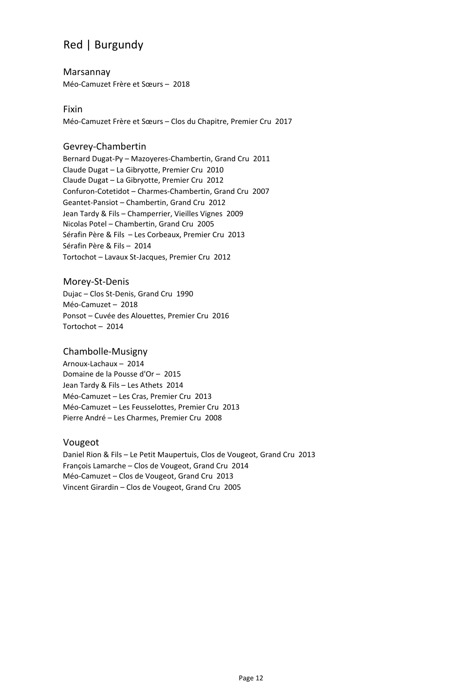# Red | Burgundy

Marsannay Méo-Camuzet Frère et Sœurs – 2018

Fixin Méo-Camuzet Frère et Sœurs – Clos du Chapitre, Premier Cru 2017

## Gevrey-Chambertin

Bernard Dugat-Py – Mazoyeres-Chambertin, Grand Cru 2011 Claude Dugat – La Gibryotte, Premier Cru 2010 Claude Dugat – La Gibryotte, Premier Cru 2012 Confuron-Cotetidot – Charmes-Chambertin, Grand Cru 2007 Geantet-Pansiot – Chambertin, Grand Cru 2012 Jean Tardy & Fils – Champerrier, Vieilles Vignes 2009 Nicolas Potel – Chambertin, Grand Cru 2005 Sérafin Père & Fils – Les Corbeaux, Premier Cru 2013 Sérafin Père & Fils – 2014 Tortochot – Lavaux St-Jacques, Premier Cru 2012

Morey-St-Denis Dujac – Clos St-Denis, Grand Cru 1990 Méo-Camuzet – 2018 Ponsot – Cuvée des Alouettes, Premier Cru 2016 Tortochot – 2014

#### Chambolle-Musigny

Arnoux-Lachaux – 2014 Domaine de la Pousse d'Or – 2015 Jean Tardy & Fils – Les Athets 2014 Méo-Camuzet – Les Cras, Premier Cru 2013 Méo-Camuzet – Les Feusselottes, Premier Cru 2013 Pierre André – Les Charmes, Premier Cru 2008

#### Vougeot

Daniel Rion & Fils – Le Petit Maupertuis, Clos de Vougeot, Grand Cru 2013 François Lamarche – Clos de Vougeot, Grand Cru 2014 Méo-Camuzet – Clos de Vougeot, Grand Cru 2013 Vincent Girardin – Clos de Vougeot, Grand Cru 2005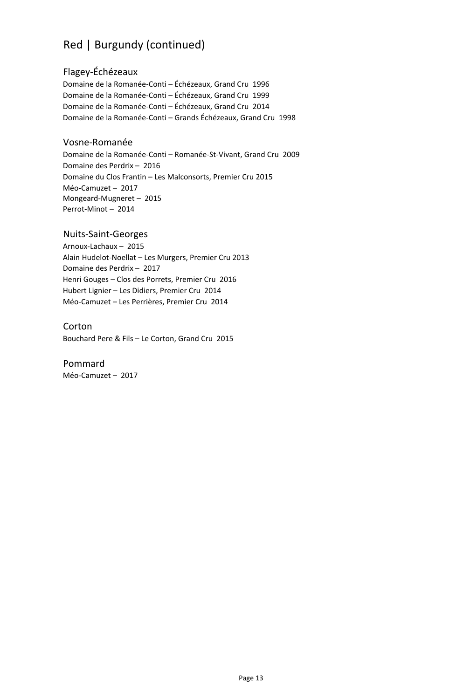# Red | Burgundy (continued)

## Flagey-Échézeaux

Domaine de la Romanée-Conti – Échézeaux, Grand Cru 1996 Domaine de la Romanée-Conti – Échézeaux, Grand Cru 1999 Domaine de la Romanée-Conti – Échézeaux, Grand Cru 2014 Domaine de la Romanée-Conti – Grands Échézeaux, Grand Cru 1998

#### Vosne-Romanée

Domaine de la Romanée-Conti – Romanée-St-Vivant, Grand Cru 2009 Domaine des Perdrix – 2016 Domaine du Clos Frantin – Les Malconsorts, Premier Cru 2015 Méo-Camuzet – 2017 Mongeard-Mugneret – 2015 Perrot-Minot – 2014

#### Nuits-Saint-Georges

Arnoux-Lachaux – 2015 Alain Hudelot-Noellat – Les Murgers, Premier Cru 2013 Domaine des Perdrix – 2017 Henri Gouges – Clos des Porrets, Premier Cru 2016 Hubert Lignier – Les Didiers, Premier Cru 2014 Méo-Camuzet – Les Perrières, Premier Cru 2014

#### Corton

Bouchard Pere & Fils – Le Corton, Grand Cru 2015

#### Pommard

Méo-Camuzet – 2017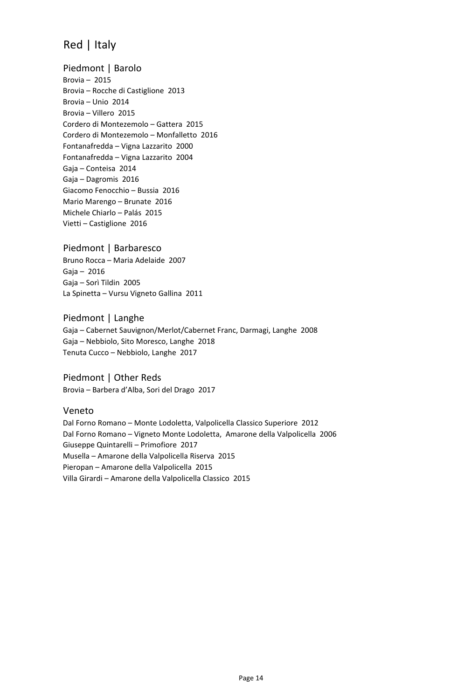# Red | Italy

Piedmont | Barolo Brovia – 2015 Brovia – Rocche di Castiglione 2013 Brovia – Unio 2014 Brovia – Villero 2015 Cordero di Montezemolo – Gattera 2015 Cordero di Montezemolo – Monfalletto 2016 Fontanafredda – Vigna Lazzarito 2000 Fontanafredda – Vigna Lazzarito 2004 Gaja – Conteisa 2014 Gaja – Dagromis 2016 Giacomo Fenocchio – Bussia 2016 Mario Marengo – Brunate 2016 Michele Chiarlo – Palás 2015 Vietti – Castiglione 2016

Piedmont | Barbaresco Bruno Rocca – Maria Adelaide 2007 Gaja – 2016 Gaja – Sorì Tildin 2005 La Spinetta – Vursu Vigneto Gallina 2011

Piedmont | Langhe Gaja – Cabernet Sauvignon/Merlot/Cabernet Franc, Darmagi, Langhe 2008 Gaja – Nebbiolo, Sito Moresco, Langhe 2018 Tenuta Cucco – Nebbiolo, Langhe 2017

Piedmont | Other Reds Brovia – Barbera d'Alba, Sori del Drago 2017

Veneto

Dal Forno Romano – Monte Lodoletta, Valpolicella Classico Superiore 2012 Dal Forno Romano – Vigneto Monte Lodoletta, Amarone della Valpolicella 2006 Giuseppe Quintarelli – Primofiore 2017 Musella – Amarone della Valpolicella Riserva 2015 Pieropan – Amarone della Valpolicella 2015 Villa Girardi – Amarone della Valpolicella Classico 2015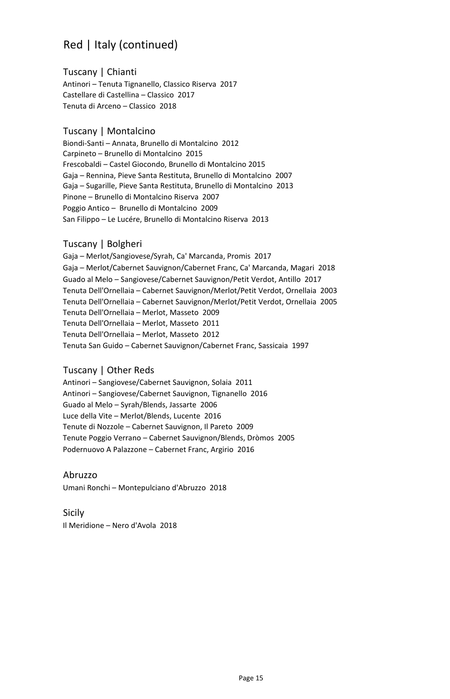# Red | Italy (continued)

Tuscany | Chianti

Antinori – Tenuta Tignanello, Classico Riserva 2017 Castellare di Castellina – Classico 2017 Tenuta di Arceno – Classico 2018

## Tuscany | Montalcino

Biondi-Santi – Annata, Brunello di Montalcino 2012 Carpineto – Brunello di Montalcino 2015 Frescobaldi – Castel Giocondo, Brunello di Montalcino 2015 Gaja – Rennina, Pieve Santa Restituta, Brunello di Montalcino 2007 Gaja – Sugarille, Pieve Santa Restituta, Brunello di Montalcino 2013 Pinone – Brunello di Montalcino Riserva 2007 Poggio Antico – Brunello di Montalcino 2009 San Filippo – Le Lucére, Brunello di Montalcino Riserva 2013

## Tuscany | Bolgheri

Gaja – Merlot/Sangiovese/Syrah, Ca' Marcanda, Promis 2017 Gaja – Merlot/Cabernet Sauvignon/Cabernet Franc, Ca' Marcanda, Magari 2018 Guado al Melo – Sangiovese/Cabernet Sauvignon/Petit Verdot, Antillo 2017 Tenuta Dell'Ornellaia – Cabernet Sauvignon/Merlot/Petit Verdot, Ornellaia 2003 Tenuta Dell'Ornellaia – Cabernet Sauvignon/Merlot/Petit Verdot, Ornellaia 2005 Tenuta Dell'Ornellaia – Merlot, Masseto 2009 Tenuta Dell'Ornellaia – Merlot, Masseto 2011 Tenuta Dell'Ornellaia – Merlot, Masseto 2012 Tenuta San Guido – Cabernet Sauvignon/Cabernet Franc, Sassicaia 1997

## Tuscany | Other Reds

Antinori – Sangiovese/Cabernet Sauvignon, Solaia 2011 Antinori – Sangiovese/Cabernet Sauvignon, Tignanello 2016 Guado al Melo – Syrah/Blends, Jassarte 2006 Luce della Vite – Merlot/Blends, Lucente 2016 Tenute di Nozzole – Cabernet Sauvignon, Il Pareto 2009 Tenute Poggio Verrano – Cabernet Sauvignon/Blends, Dròmos 2005 Podernuovo A Palazzone – Cabernet Franc, Argirio 2016

#### Abruzzo

Umani Ronchi – Montepulciano d'Abruzzo 2018

#### Sicily

Il Meridione – Nero d'Avola 2018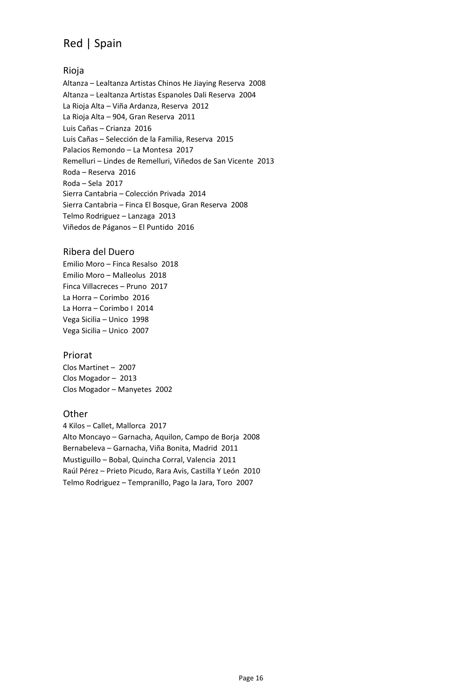# Red | Spain

## Rioja

Altanza – Lealtanza Artistas Chinos He Jiaying Reserva 2008 Altanza – Lealtanza Artistas Espanoles Dali Reserva 2004 La Rioja Alta – Viña Ardanza, Reserva 2012 La Rioja Alta – 904, Gran Reserva 2011 Luis Cañas – Crianza 2016 Luis Cañas – Selección de la Familia, Reserva 2015 Palacios Remondo – La Montesa 2017 Remelluri – Lindes de Remelluri, Viñedos de San Vicente 2013 Roda – Reserva 2016 Roda – Sela 2017 Sierra Cantabria – Colección Privada 2014 Sierra Cantabria – Finca El Bosque, Gran Reserva 2008 Telmo Rodriguez – Lanzaga 2013 Viñedos de Páganos – El Puntido 2016

#### Ribera del Duero

Emilio Moro – Finca Resalso 2018 Emilio Moro – Malleolus 2018 Finca Villacreces – Pruno 2017 La Horra – Corimbo 2016 La Horra – Corimbo I 2014 Vega Sicilia – Unico 1998 Vega Sicilia – Unico 2007

#### Priorat

Clos Martinet – 2007 Clos Mogador – 2013 Clos Mogador – Manyetes 2002

#### **Other**

4 Kilos – Callet, Mallorca 2017 Alto Moncayo – Garnacha, Aquilon, Campo de Borja 2008 Bernabeleva – Garnacha, Viña Bonita, Madrid 2011 Mustiguillo – Bobal, Quincha Corral, Valencia 2011 Raúl Pérez – Prieto Picudo, Rara Avis, Castilla Y León 2010 Telmo Rodriguez – Tempranillo, Pago la Jara, Toro 2007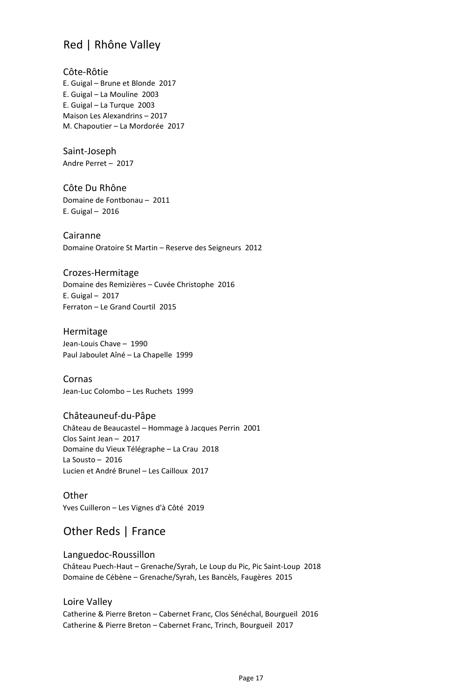# Red | Rhône Valley

Côte-Rôtie E. Guigal – Brune et Blonde 2017 E. Guigal – La Mouline 2003 E. Guigal – La Turque 2003 Maison Les Alexandrins – 2017 M. Chapoutier – La Mordorée 2017

Saint-Joseph Andre Perret – 2017

Côte Du Rhône Domaine de Fontbonau – 2011 E. Guigal – 2016

Cairanne Domaine Oratoire St Martin – Reserve des Seigneurs 2012

#### Crozes-Hermitage

Domaine des Remizières – Cuvée Christophe 2016 E. Guigal – 2017 Ferraton – Le Grand Courtil 2015

Hermitage Jean-Louis Chave – 1990 Paul Jaboulet Aîné – La Chapelle 1999

Cornas Jean-Luc Colombo – Les Ruchets 1999

#### Châteauneuf-du-Pâpe

Château de Beaucastel – Hommage à Jacques Perrin 2001 Clos Saint Jean – 2017 Domaine du Vieux Télégraphe – La Crau 2018 La Sousto – 2016 Lucien et André Brunel – Les Cailloux 2017

**Other** Yves Cuilleron – Les Vignes d'à Côté 2019

# Other Reds | France

Languedoc-Roussillon Château Puech-Haut – Grenache/Syrah, Le Loup du Pic, Pic Saint-Loup 2018 Domaine de Cébène – Grenache/Syrah, Les Bancèls, Faugères 2015

Loire Valley Catherine & Pierre Breton – Cabernet Franc, Clos Sénéchal, Bourgueil 2016 Catherine & Pierre Breton – Cabernet Franc, Trinch, Bourgueil 2017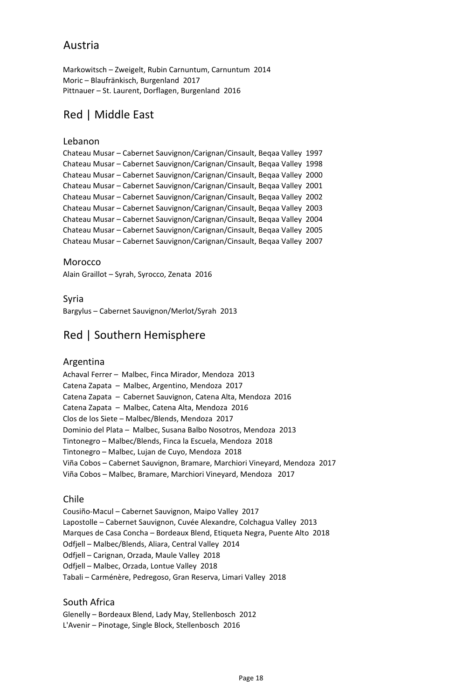## Austria

Markowitsch – Zweigelt, Rubin Carnuntum, Carnuntum 2014 Moric – Blaufränkisch, Burgenland 2017 Pittnauer – St. Laurent, Dorflagen, Burgenland 2016

# Red | Middle East

#### Lebanon

Chateau Musar – Cabernet Sauvignon/Carignan/Cinsault, Beqaa Valley 1997 Chateau Musar – Cabernet Sauvignon/Carignan/Cinsault, Beqaa Valley 1998 Chateau Musar – Cabernet Sauvignon/Carignan/Cinsault, Beqaa Valley 2000 Chateau Musar – Cabernet Sauvignon/Carignan/Cinsault, Beqaa Valley 2001 Chateau Musar – Cabernet Sauvignon/Carignan/Cinsault, Beqaa Valley 2002 Chateau Musar – Cabernet Sauvignon/Carignan/Cinsault, Beqaa Valley 2003 Chateau Musar – Cabernet Sauvignon/Carignan/Cinsault, Beqaa Valley 2004 Chateau Musar – Cabernet Sauvignon/Carignan/Cinsault, Beqaa Valley 2005 Chateau Musar – Cabernet Sauvignon/Carignan/Cinsault, Beqaa Valley 2007

Morocco

Alain Graillot – Syrah, Syrocco, Zenata 2016

Syria

Bargylus – Cabernet Sauvignon/Merlot/Syrah 2013

# Red | Southern Hemisphere

#### Argentina

Achaval Ferrer *–* Malbec, Finca Mirador, Mendoza 2013 Catena Zapata *–* Malbec, Argentino, Mendoza 2017 Catena Zapata *–* Cabernet Sauvignon, Catena Alta, Mendoza 2016 Catena Zapata *–* Malbec, Catena Alta, Mendoza 2016 Clos de los Siete – Malbec/Blends, Mendoza 2017 Dominio del Plata *–* Malbec, Susana Balbo Nosotros, Mendoza 2013 Tintonegro – Malbec/Blends, Finca la Escuela, Mendoza 2018 Tintonegro – Malbec, Lujan de Cuyo, Mendoza 2018 Viña Cobos – Cabernet Sauvignon, Bramare, Marchiori Vineyard, Mendoza 2017 Viña Cobos – Malbec, Bramare, Marchiori Vineyard, Mendoza 2017

#### Chile

Cousiño-Macul – Cabernet Sauvignon, Maipo Valley 2017 Lapostolle – Cabernet Sauvignon, Cuvée Alexandre, Colchagua Valley 2013 Marques de Casa Concha – Bordeaux Blend, Etiqueta Negra, Puente Alto 2018 Odfjell – Malbec/Blends, Aliara, Central Valley 2014 Odfjell – Carignan, Orzada, Maule Valley 2018 Odfjell – Malbec, Orzada, Lontue Valley 2018 Tabali – Carménère, Pedregoso, Gran Reserva, Limari Valley 2018

#### South Africa

Glenelly – Bordeaux Blend, Lady May, Stellenbosch 2012 L'Avenir – Pinotage, Single Block, Stellenbosch 2016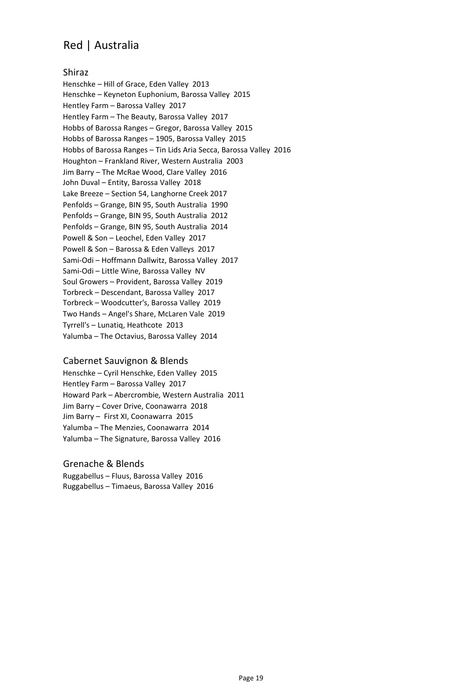# Red | Australia

#### Shiraz

Henschke – Hill of Grace, Eden Valley 2013 Henschke – Keyneton Euphonium, Barossa Valley 2015 Hentley Farm – Barossa Valley 2017 Hentley Farm – The Beauty, Barossa Valley 2017 Hobbs of Barossa Ranges – Gregor, Barossa Valley 2015 Hobbs of Barossa Ranges – 1905, Barossa Valley 2015 Hobbs of Barossa Ranges – Tin Lids Aria Secca, Barossa Valley 2016 Houghton – Frankland River, Western Australia 2003 Jim Barry – The McRae Wood, Clare Valley 2016 John Duval – Entity, Barossa Valley 2018 Lake Breeze – Section 54, Langhorne Creek 2017 Penfolds – Grange, BIN 95, South Australia 1990 Penfolds – Grange, BIN 95, South Australia 2012 Penfolds – Grange, BIN 95, South Australia 2014 Powell & Son – Leochel, Eden Valley 2017 Powell & Son – Barossa & Eden Valleys 2017 Sami-Odi – Hoffmann Dallwitz, Barossa Valley 2017 Sami-Odi – Little Wine, Barossa Valley NV Soul Growers – Provident, Barossa Valley 2019 Torbreck – Descendant, Barossa Valley 2017 Torbreck – Woodcutter's, Barossa Valley 2019 Two Hands – Angel's Share, McLaren Vale 2019 Tyrrell's – Lunatiq, Heathcote 2013 Yalumba – The Octavius, Barossa Valley 2014

#### Cabernet Sauvignon & Blends

Henschke – Cyril Henschke, Eden Valley 2015 Hentley Farm – Barossa Valley 2017 Howard Park – Abercrombie*,* Western Australia 2011 Jim Barry – Cover Drive, Coonawarra 2018 Jim Barry – First XI, Coonawarra 2015 Yalumba – The Menzies, Coonawarra 2014 Yalumba – The Signature, Barossa Valley 2016

#### Grenache & Blends

Ruggabellus – Fluus, Barossa Valley 2016 Ruggabellus – Timaeus, Barossa Valley 2016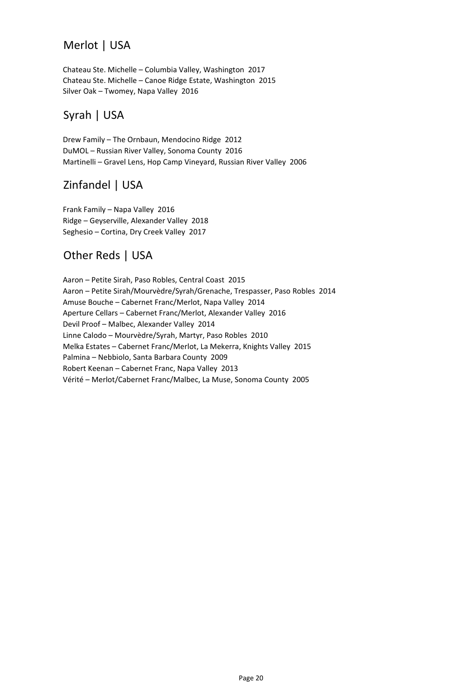# Merlot | USA

Chateau Ste. Michelle – Columbia Valley, Washington 2017 Chateau Ste. Michelle – Canoe Ridge Estate, Washington 2015 Silver Oak – Twomey, Napa Valley 2016

# Syrah | USA

Drew Family – The Ornbaun, Mendocino Ridge 2012 DuMOL – Russian River Valley, Sonoma County 2016 Martinelli – Gravel Lens, Hop Camp Vineyard, Russian River Valley 2006

# Zinfandel | USA

Frank Family – Napa Valley 2016 Ridge – Geyserville, Alexander Valley 2018 Seghesio – Cortina, Dry Creek Valley 2017

# Other Reds | USA

Aaron – Petite Sirah, Paso Robles, Central Coast 2015 Aaron – Petite Sirah/Mourvèdre/Syrah/Grenache, Trespasser, Paso Robles 2014 Amuse Bouche – Cabernet Franc/Merlot, Napa Valley 2014 Aperture Cellars – Cabernet Franc/Merlot, Alexander Valley 2016 Devil Proof – Malbec, Alexander Valley 2014 Linne Calodo – Mourvèdre/Syrah, Martyr, Paso Robles 2010 Melka Estates – Cabernet Franc/Merlot, La Mekerra, Knights Valley 2015 Palmina – Nebbiolo, Santa Barbara County 2009 Robert Keenan – Cabernet Franc, Napa Valley 2013 Vérité – Merlot/Cabernet Franc/Malbec, La Muse, Sonoma County 2005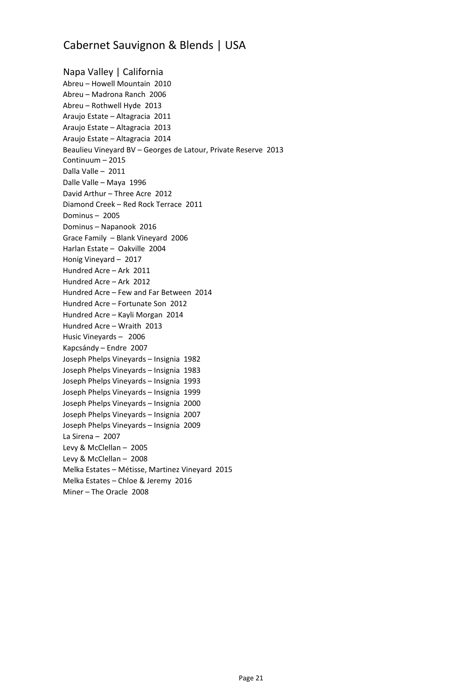# Cabernet Sauvignon & Blends | USA

Napa Valley | California Abreu – Howell Mountain 2010 Abreu – Madrona Ranch 2006 Abreu – Rothwell Hyde 2013 Araujo Estate – Altagracia 2011 Araujo Estate – Altagracia 2013 Araujo Estate – Altagracia 2014 Beaulieu Vineyard BV – Georges de Latour, Private Reserve 2013 Continuum – 2015 Dalla Valle – 2011 Dalle Valle – Maya 1996 David Arthur – Three Acre 2012 Diamond Creek – Red Rock Terrace 2011 Dominus – 2005 Dominus – Napanook 2016 Grace Family – Blank Vineyard 2006 Harlan Estate – Oakville 2004 Honig Vineyard – 2017 Hundred Acre – Ark 2011 Hundred Acre – Ark 2012 Hundred Acre – Few and Far Between 2014 Hundred Acre – Fortunate Son 2012 Hundred Acre – Kayli Morgan 2014 Hundred Acre – Wraith 2013 Husic Vineyards – 2006 Kapcsándy – Endre 2007 Joseph Phelps Vineyards – Insignia 1982 Joseph Phelps Vineyards – Insignia 1983 Joseph Phelps Vineyards – Insignia 1993 Joseph Phelps Vineyards – Insignia 1999 Joseph Phelps Vineyards – Insignia 2000 Joseph Phelps Vineyards – Insignia 2007 Joseph Phelps Vineyards – Insignia 2009 La Sirena – 2007 Levy & McClellan – 2005 Levy & McClellan – 2008 Melka Estates – Métisse, Martinez Vineyard 2015 Melka Estates – Chloe & Jeremy 2016 Miner – The Oracle 2008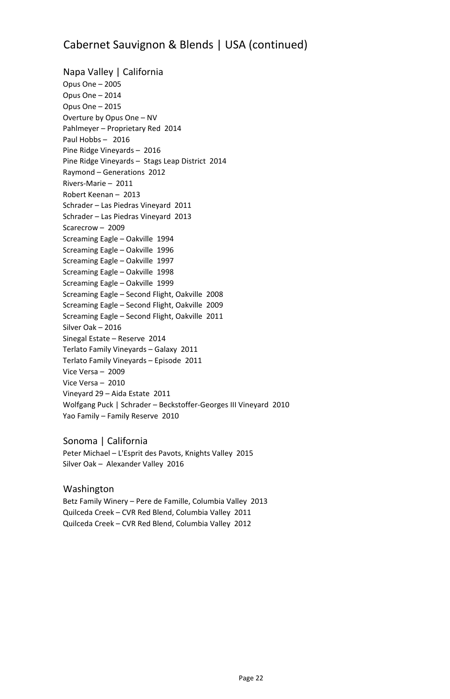# Cabernet Sauvignon & Blends | USA (continued)

Napa Valley | California Opus One – 2005 Opus One – 2014 Opus One – 2015 Overture by Opus One – NV Pahlmeyer – Proprietary Red 2014 Paul Hobbs – 2016 Pine Ridge Vineyards – 2016 Pine Ridge Vineyards – Stags Leap District 2014 Raymond – Generations 2012 Rivers-Marie – 2011 Robert Keenan – 2013 Schrader – Las Piedras Vineyard 2011 Schrader – Las Piedras Vineyard 2013 Scarecrow – 2009 Screaming Eagle – Oakville 1994 Screaming Eagle – Oakville 1996 Screaming Eagle – Oakville 1997 Screaming Eagle – Oakville 1998 Screaming Eagle – Oakville 1999 Screaming Eagle – Second Flight, Oakville 2008 Screaming Eagle – Second Flight, Oakville 2009 Screaming Eagle – Second Flight, Oakville 2011 Silver Oak – 2016 Sinegal Estate – Reserve 2014 Terlato Family Vineyards – Galaxy 2011 Terlato Family Vineyards – Episode 2011 Vice Versa – 2009 Vice Versa – 2010 Vineyard 29 – Aida Estate 2011 Wolfgang Puck | Schrader – Beckstoffer-Georges III Vineyard 2010 Yao Family – Family Reserve 2010

Sonoma | California Peter Michael – L'Esprit des Pavots, Knights Valley 2015 Silver Oak – Alexander Valley 2016

#### Washington

Betz Family Winery – Pere de Famille, Columbia Valley 2013 Quilceda Creek – CVR Red Blend, Columbia Valley 2011 Quilceda Creek – CVR Red Blend, Columbia Valley 2012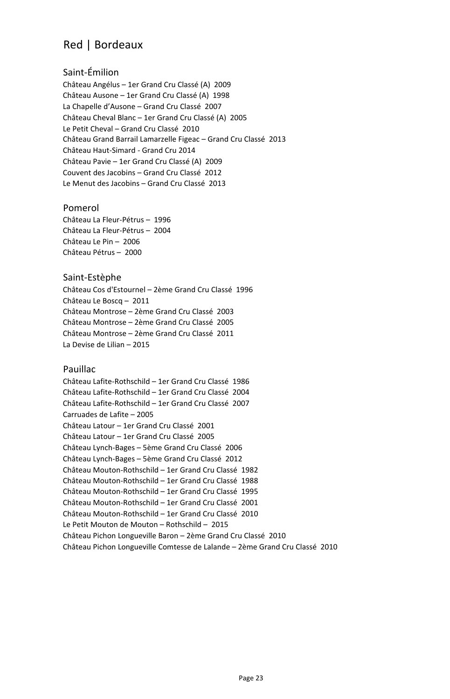# Red | Bordeaux

## Saint-Émilion

Château Angélus – 1er Grand Cru Classé (A) 2009 Château Ausone – 1er Grand Cru Classé (A) 1998 La Chapelle d'Ausone – Grand Cru Classé 2007 Château Cheval Blanc – 1er Grand Cru Classé (A) 2005 Le Petit Cheval – Grand Cru Classé 2010 Château Grand Barrail Lamarzelle Figeac – Grand Cru Classé 2013 Château Haut-Simard - Grand Cru 2014 Château Pavie – 1er Grand Cru Classé (A) 2009 Couvent des Jacobins – Grand Cru Classé 2012 Le Menut des Jacobins – Grand Cru Classé 2013

#### Pomerol

Château La Fleur-Pétrus – 1996 Château La Fleur-Pétrus – 2004 Château Le Pin – 2006 Château Pétrus – 2000

#### Saint-Estèphe

Château Cos d'Estournel – 2ème Grand Cru Classé 1996 Château Le Boscq – 2011 Château Montrose – 2ème Grand Cru Classé 2003 Château Montrose – 2ème Grand Cru Classé 2005 Château Montrose – 2ème Grand Cru Classé 2011 La Devise de Lilian – 2015

#### Pauillac

Château Lafite-Rothschild – 1er Grand Cru Classé 1986 Château Lafite-Rothschild – 1er Grand Cru Classé 2004 Château Lafite-Rothschild – 1er Grand Cru Classé 2007 Carruades de Lafite – 2005 Château Latour – 1er Grand Cru Classé 2001 Château Latour – 1er Grand Cru Classé 2005 Château Lynch-Bages – 5ème Grand Cru Classé 2006 Château Lynch-Bages – 5ème Grand Cru Classé 2012 Château Mouton-Rothschild – 1er Grand Cru Classé 1982 Château Mouton-Rothschild – 1er Grand Cru Classé 1988 Château Mouton-Rothschild – 1er Grand Cru Classé 1995 Château Mouton-Rothschild – 1er Grand Cru Classé 2001 Château Mouton-Rothschild – 1er Grand Cru Classé 2010 Le Petit Mouton de Mouton – Rothschild – 2015 Château Pichon Longueville Baron – 2ème Grand Cru Classé 2010 Château Pichon Longueville Comtesse de Lalande – 2ème Grand Cru Classé 2010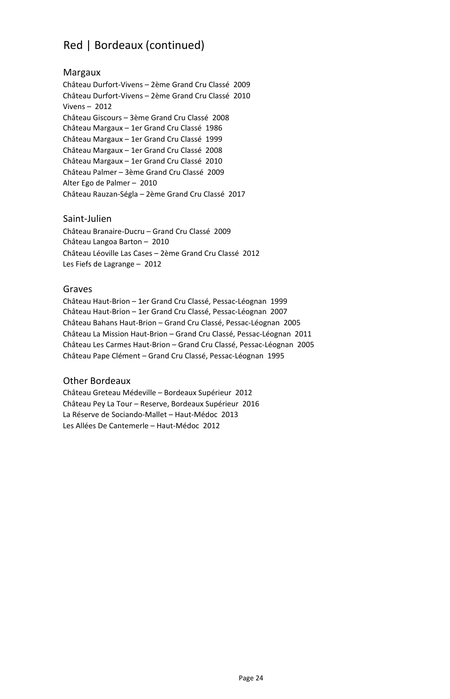# Red | Bordeaux (continued)

#### Margaux

Château Durfort-Vivens – 2ème Grand Cru Classé 2009 Château Durfort-Vivens – 2ème Grand Cru Classé 2010 Vivens – 2012 Château Giscours – 3ème Grand Cru Classé 2008 Château Margaux – 1er Grand Cru Classé 1986 Château Margaux – 1er Grand Cru Classé 1999 Château Margaux – 1er Grand Cru Classé 2008 Château Margaux – 1er Grand Cru Classé 2010 Château Palmer – 3ème Grand Cru Classé 2009 Alter Ego de Palmer – 2010 Château Rauzan-Ségla – 2ème Grand Cru Classé 2017

#### Saint-Julien

Château Branaire-Ducru – Grand Cru Classé 2009 Château Langoa Barton – 2010 Château Léoville Las Cases – 2ème Grand Cru Classé 2012 Les Fiefs de Lagrange – 2012

#### Graves

Château Haut-Brion – 1er Grand Cru Classé, Pessac-Léognan 1999 Château Haut-Brion – 1er Grand Cru Classé, Pessac-Léognan 2007 Château Bahans Haut-Brion – Grand Cru Classé, Pessac-Léognan 2005 Château La Mission Haut-Brion – Grand Cru Classé, Pessac-Léognan 2011 Château Les Carmes Haut-Brion – Grand Cru Classé, Pessac-Léognan 2005 Château Pape Clément – Grand Cru Classé, Pessac-Léognan 1995

#### Other Bordeaux

Château Greteau Médeville – Bordeaux Supérieur 2012 Château Pey La Tour – Reserve, Bordeaux Supérieur 2016 La Réserve de Sociando-Mallet – Haut-Médoc 2013 Les Allées De Cantemerle – Haut-Médoc 2012